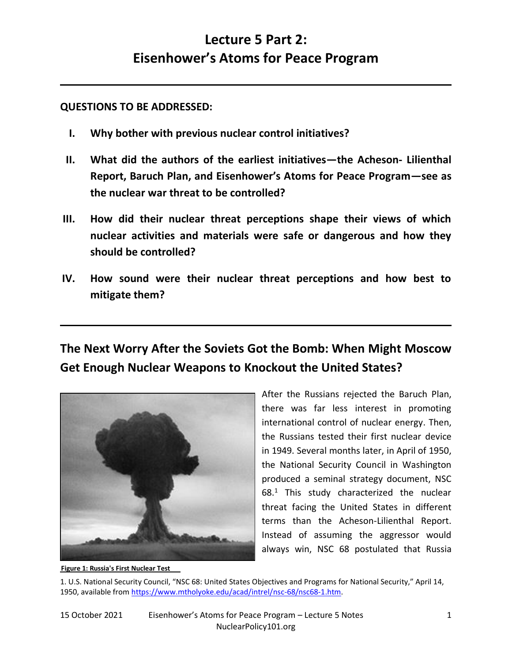# **Lecture 5 Part 2: Eisenhower's Atoms for Peace Program**

**QUESTIONS TO BE ADDRESSED:**

- **I. Why bother with previous nuclear control initiatives?**
- **II. What did the authors of the earliest initiatives—the Acheson- Lilienthal Report, Baruch Plan, and Eisenhower's Atoms for Peace Program—see as the nuclear war threat to be controlled?**
- **III. How did their nuclear threat perceptions shape their views of which nuclear activities and materials were safe or dangerous and how they should be controlled?**
- **IV. How sound were their nuclear threat perceptions and how best to mitigate them?**

## **The Next Worry After the Soviets Got the Bomb: When Might Moscow Get Enough Nuclear Weapons to Knockout the United States?**



After the Russians rejected the Baruch Plan, there was far less interest in promoting international control of nuclear energy. Then, the Russians tested their first nuclear device in 1949. Several months later, in April of 1950, the National Security Council in Washington produced a seminal strategy document, NSC 68.<sup>1</sup> This study characterized the nuclear threat facing the United States in different terms than the Acheson-Lilienthal Report. Instead of assuming the aggressor would always win, NSC 68 postulated that Russia

1. U.S. National Security Council, "NSC 68: United States Objectives and Programs for National Security," April 14, 1950, available from [https://www.mtholyoke.edu/acad/intrel/nsc-68/nsc68-1.htm.](https://www.mtholyoke.edu/acad/intrel/nsc-68/nsc68-1.htm)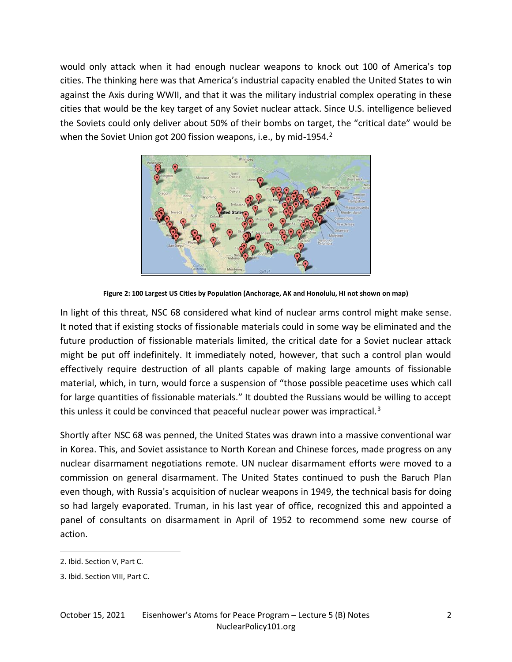would only attack when it had enough nuclear weapons to knock out 100 of America's top cities. The thinking here was that America's industrial capacity enabled the United States to win against the Axis during WWII, and that it was the military industrial complex operating in these cities that would be the key target of any Soviet nuclear attack. Since U.S. intelligence believed the Soviets could only deliver about 50% of their bombs on target, the "critical date" would be when the Soviet Union got 200 fission weapons, i.e., by mid-1954.<sup>2</sup>



**Figure 2: 100 Largest US Cities by Population (Anchorage, AK and Honolulu, HI not shown on map)**

In light of this threat, NSC 68 considered what kind of nuclear arms control might make sense. It noted that if existing stocks of fissionable materials could in some way be eliminated and the future production of fissionable materials limited, the critical date for a Soviet nuclear attack might be put off indefinitely. It immediately noted, however, that such a control plan would effectively require destruction of all plants capable of making large amounts of fissionable material, which, in turn, would force a suspension of "those possible peacetime uses which call for large quantities of fissionable materials." It doubted the Russians would be willing to accept this unless it could be convinced that peaceful nuclear power was impractical.<sup>3</sup>

Shortly after NSC 68 was penned, the United States was drawn into a massive conventional war in Korea. This, and Soviet assistance to North Korean and Chinese forces, made progress on any nuclear disarmament negotiations remote. UN nuclear disarmament efforts were moved to a commission on general disarmament. The United States continued to push the Baruch Plan even though, with Russia's acquisition of nuclear weapons in 1949, the technical basis for doing so had largely evaporated. Truman, in his last year of office, recognized this and appointed a panel of consultants on disarmament in April of 1952 to recommend some new course of action.

<sup>2.</sup> Ibid. Section V, Part C.

<sup>3.</sup> Ibid. Section VIII, Part C.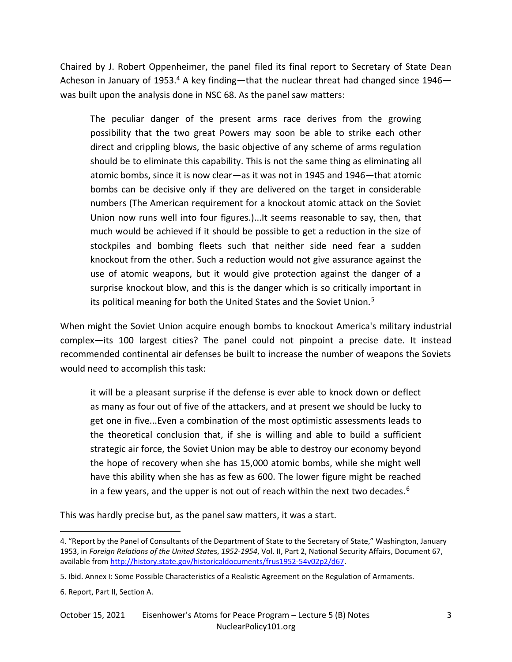Chaired by J. Robert Oppenheimer, the panel filed its final report to Secretary of State Dean Acheson in January of 1953.<sup>4</sup> A key finding—that the nuclear threat had changed since 1946 was built upon the analysis done in NSC 68. As the panel saw matters:

The peculiar danger of the present arms race derives from the growing possibility that the two great Powers may soon be able to strike each other direct and crippling blows, the basic objective of any scheme of arms regulation should be to eliminate this capability. This is not the same thing as eliminating all atomic bombs, since it is now clear—as it was not in 1945 and 1946—that atomic bombs can be decisive only if they are delivered on the target in considerable numbers (The American requirement for a knockout atomic attack on the Soviet Union now runs well into four figures.)...It seems reasonable to say, then, that much would be achieved if it should be possible to get a reduction in the size of stockpiles and bombing fleets such that neither side need fear a sudden knockout from the other. Such a reduction would not give assurance against the use of atomic weapons, but it would give protection against the danger of a surprise knockout blow, and this is the danger which is so critically important in its political meaning for both the United States and the Soviet Union.<sup>5</sup>

When might the Soviet Union acquire enough bombs to knockout America's military industrial complex—its 100 largest cities? The panel could not pinpoint a precise date. It instead recommended continental air defenses be built to increase the number of weapons the Soviets would need to accomplish this task:

it will be a pleasant surprise if the defense is ever able to knock down or deflect as many as four out of five of the attackers, and at present we should be lucky to get one in five...Even a combination of the most optimistic assessments leads to the theoretical conclusion that, if she is willing and able to build a sufficient strategic air force, the Soviet Union may be able to destroy our economy beyond the hope of recovery when she has 15,000 atomic bombs, while she might well have this ability when she has as few as 600. The lower figure might be reached in a few years, and the upper is not out of reach within the next two decades.<sup>6</sup>

This was hardly precise but, as the panel saw matters, it was a start.

<sup>4.</sup> "Report by the Panel of Consultants of the Department of State to the Secretary of State," Washington, January 1953, in *Foreign Relations of the United State*s, *1952-1954*, Vol. II, Part 2, National Security Affairs, Document 67, available from [http://history.state.gov/historicaldocuments/frus1952-54v02p2/d67.](http://history.state.gov/historicaldocuments/frus1952-54v02p2/d67)

<sup>5.</sup> Ibid. Annex I: Some Possible Characteristics of a Realistic Agreement on the Regulation of Armaments.

<sup>6.</sup> Report, Part II, Section A.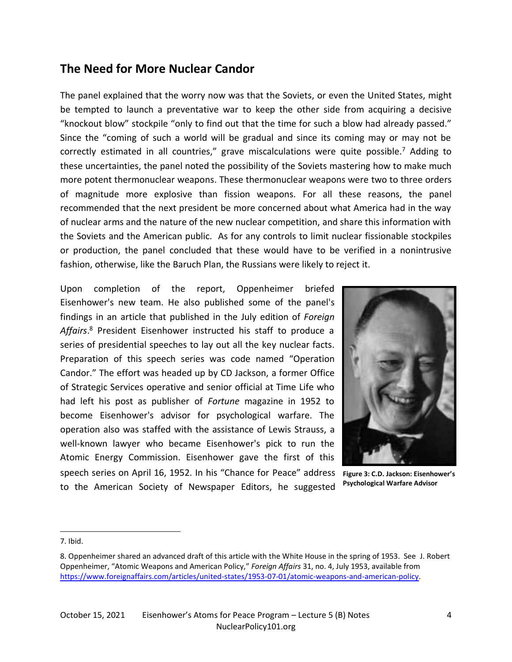### **The Need for More Nuclear Candor**

The panel explained that the worry now was that the Soviets, or even the United States, might be tempted to launch a preventative war to keep the other side from acquiring a decisive "knockout blow" stockpile "only to find out that the time for such a blow had already passed." Since the "coming of such a world will be gradual and since its coming may or may not be correctly estimated in all countries," grave miscalculations were quite possible. $<sup>7</sup>$  Adding to</sup> these uncertainties, the panel noted the possibility of the Soviets mastering how to make much more potent thermonuclear weapons. These thermonuclear weapons were two to three orders of magnitude more explosive than fission weapons. For all these reasons, the panel recommended that the next president be more concerned about what America had in the way of nuclear arms and the nature of the new nuclear competition, and share this information with the Soviets and the American public. As for any controls to limit nuclear fissionable stockpiles or production, the panel concluded that these would have to be verified in a nonintrusive fashion, otherwise, like the Baruch Plan, the Russians were likely to reject it.

Upon completion of the report, Oppenheimer briefed Eisenhower's new team. He also published some of the panel's findings in an article that published in the July edition of *Foreign Affairs*. <sup>8</sup> President Eisenhower instructed his staff to produce a series of presidential speeches to lay out all the key nuclear facts. Preparation of this speech series was code named "Operation Candor." The effort was headed up by CD Jackson, a former Office of Strategic Services operative and senior official at Time Life who had left his post as publisher of *Fortune* magazine in 1952 to become Eisenhower's advisor for psychological warfare. The operation also was staffed with the assistance of Lewis Strauss, a well-known lawyer who became Eisenhower's pick to run the Atomic Energy Commission. Eisenhower gave the first of this speech series on April 16, 1952. In his "Chance for Peace" address **Figure 3: C.D. Jackson: Eisenhower's**  to the American Society of Newspaper Editors, he suggested



**Psychological Warfare Advisor**

7. Ibid.

<sup>8.</sup> Oppenheimer shared an advanced draft of this article with the White House in the spring of 1953. See J. Robert Oppenheimer, "Atomic Weapons and American Policy," *Foreign Affairs* 31, no. 4, July 1953, available from [https://www.foreignaffairs.com/articles/united-states/1953-07-01/atomic-weapons-and-american-policy.](https://www.foreignaffairs.com/articles/united-states/1953-07-01/atomic-weapons-and-american-policy)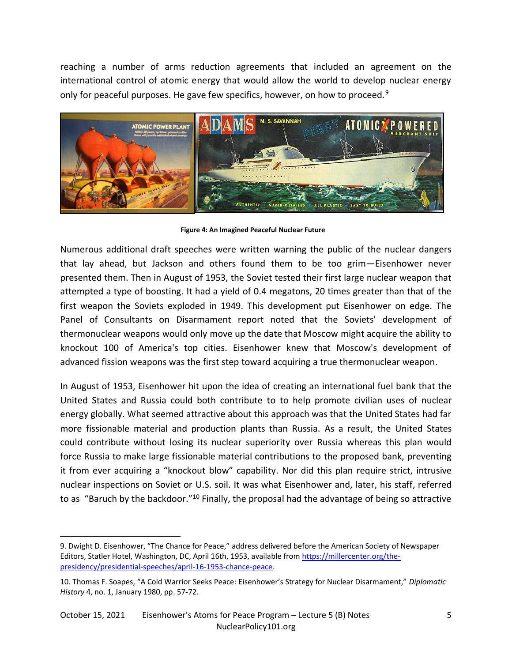reaching a number of arms reduction agreements that included an agreement on the international control of atomic energy that would allow the world to develop nuclear energy only for peaceful purposes. He gave few specifics, however, on how to proceed.<sup>9</sup>



**Figure 4: An Imagined Peaceful Nuclear Future**

Numerous additional draft speeches were written warning the public of the nuclear dangers that lay ahead, but Jackson and others found them to be too grim—Eisenhower never presented them. Then in August of 1953, the Soviet tested their first large nuclear weapon that attempted a type of boosting. It had a yield of 0.4 megatons, 20 times greater than that of the first weapon the Soviets exploded in 1949. This development put Eisenhower on edge. The Panel of Consultants on Disarmament report noted that the Soviets' development of thermonuclear weapons would only move up the date that Moscow might acquire the ability to knockout 100 of America's top cities. Eisenhower knew that Moscow's development of advanced fission weapons was the first step toward acquiring a true thermonuclear weapon.

In August of 1953, Eisenhower hit upon the idea of creating an international fuel bank that the United States and Russia could both contribute to to help promote civilian uses of nuclear energy globally. What seemed attractive about this approach was that the United States had far more fissionable material and production plants than Russia. As a result, the United States could contribute without losing its nuclear superiority over Russia whereas this plan would force Russia to make large fissionable material contributions to the proposed bank, preventing it from ever acquiring a "knockout blow" capability. Nor did this plan require strict, intrusive nuclear inspections on Soviet or U.S. soil. It was what Eisenhower and, later, his staff, referred to as "Baruch by the backdoor."<sup>10</sup> Finally, the proposal had the advantage of being so attractive

<sup>9.</sup> Dwight D. Eisenhower, "The Chance for Peace," address delivered before the American Society of Newspaper Editors, Statler Hotel, Washington, DC, April 16th, 1953, available from [https://millercenter.org/the](https://millercenter.org/the-presidency/presidential-speeches/april-16-1953-chance-peace)[presidency/presidential-speeches/april-16-1953-chance-peace.](https://millercenter.org/the-presidency/presidential-speeches/april-16-1953-chance-peace) 

<sup>10.</sup> Thomas F. Soapes, "A Cold Warrior Seeks Peace: Eisenhower's Strategy for Nuclear Disarmament," *Diplomatic History* 4, no. 1, January 1980, pp. 57-72.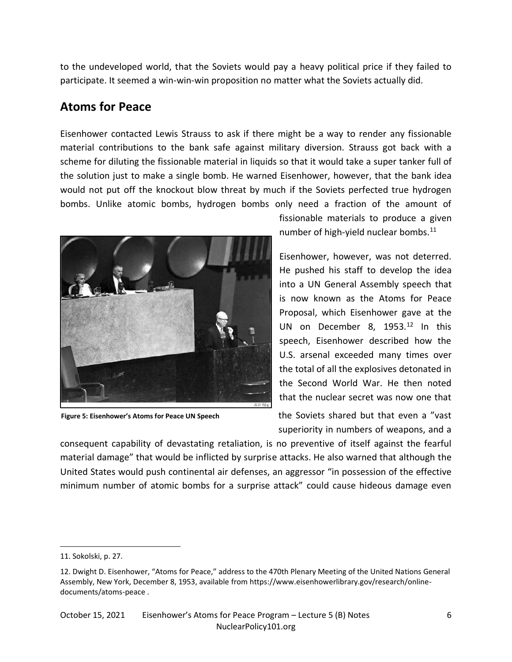to the undeveloped world, that the Soviets would pay a heavy political price if they failed to participate. It seemed a win-win-win proposition no matter what the Soviets actually did.

### **Atoms for Peace**

Eisenhower contacted Lewis Strauss to ask if there might be a way to render any fissionable material contributions to the bank safe against military diversion. Strauss got back with a scheme for diluting the fissionable material in liquids so that it would take a super tanker full of the solution just to make a single bomb. He warned Eisenhower, however, that the bank idea would not put off the knockout blow threat by much if the Soviets perfected true hydrogen bombs. Unlike atomic bombs, hydrogen bombs only need a fraction of the amount of



**Figure 5: Eisenhower's Atoms for Peace UN Speech**

fissionable materials to produce a given number of high-yield nuclear bombs.<sup>11</sup>

Eisenhower, however, was not deterred. He pushed his staff to develop the idea into a UN General Assembly speech that is now known as the Atoms for Peace Proposal, which Eisenhower gave at the UN on December 8, 1953.<sup>12</sup> In this speech, Eisenhower described how the U.S. arsenal exceeded many times over the total of all the explosives detonated in the Second World War. He then noted that the nuclear secret was now one that

the Soviets shared but that even a "vast superiority in numbers of weapons, and a

consequent capability of devastating retaliation, is no preventive of itself against the fearful material damage" that would be inflicted by surprise attacks. He also warned that although the United States would push continental air defenses, an aggressor "in possession of the effective minimum number of atomic bombs for a surprise attack" could cause hideous damage even

<sup>11.</sup> Sokolski, p. 27.

<sup>12.</sup> Dwight D. Eisenhower, "Atoms for Peace," address to the 470th Plenary Meeting of the United Nations General Assembly, New York, December 8, 1953, available from https://www.eisenhowerlibrary.gov/research/onlinedocuments/atoms-peace .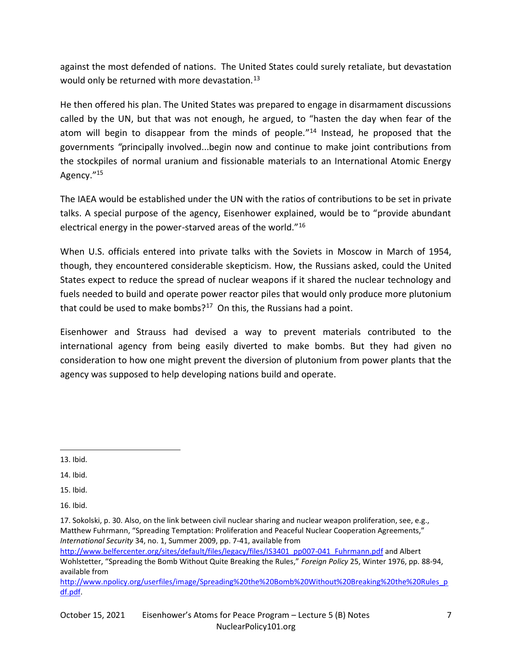against the most defended of nations. The United States could surely retaliate, but devastation would only be returned with more devastation.<sup>13</sup>

He then offered his plan. The United States was prepared to engage in disarmament discussions called by the UN, but that was not enough, he argued, to "hasten the day when fear of the atom will begin to disappear from the minds of people*.*" <sup>14</sup> Instead, he proposed that the governments *"*principally involved...begin now and continue to make joint contributions from the stockpiles of normal uranium and fissionable materials to an International Atomic Energy Agency."<sup>15</sup>

The IAEA would be established under the UN with the ratios of contributions to be set in private talks. A special purpose of the agency, Eisenhower explained, would be to "provide abundant electrical energy in the power-starved areas of the world."<sup>16</sup>

When U.S. officials entered into private talks with the Soviets in Moscow in March of 1954, though, they encountered considerable skepticism. How, the Russians asked, could the United States expect to reduce the spread of nuclear weapons if it shared the nuclear technology and fuels needed to build and operate power reactor piles that would only produce more plutonium that could be used to make bombs? $17$  On this, the Russians had a point.

Eisenhower and Strauss had devised a way to prevent materials contributed to the international agency from being easily diverted to make bombs. But they had given no consideration to how one might prevent the diversion of plutonium from power plants that the agency was supposed to help developing nations build and operate.

15. Ibid.

[http://www.belfercenter.org/sites/default/files/legacy/files/IS3401\\_pp007-041\\_Fuhrmann.pdf](http://www.belfercenter.org/sites/default/files/legacy/files/IS3401_pp007-041_Fuhrmann.pdf) and Albert Wohlstetter, "Spreading the Bomb Without Quite Breaking the Rules," *Foreign Policy* 25, Winter 1976, pp. 88-94, available from

[http://www.npolicy.org/userfiles/image/Spreading%20the%20Bomb%20Without%20Breaking%20the%20Rules\\_p](http://www.npolicy.org/userfiles/image/Spreading%20the%20Bomb%20Without%20Breaking%20the%20Rules_pdf.pdf) [df.pdf.](http://www.npolicy.org/userfiles/image/Spreading%20the%20Bomb%20Without%20Breaking%20the%20Rules_pdf.pdf)

<sup>13.</sup> Ibid.

<sup>14.</sup> Ibid.

<sup>16.</sup> Ibid.

<sup>17.</sup> Sokolski, p. 30. Also, on the link between civil nuclear sharing and nuclear weapon proliferation, see, e.g., Matthew Fuhrmann, "Spreading Temptation: Proliferation and Peaceful Nuclear Cooperation Agreements," *International Security* 34, no. 1, Summer 2009, pp. 7-41, available from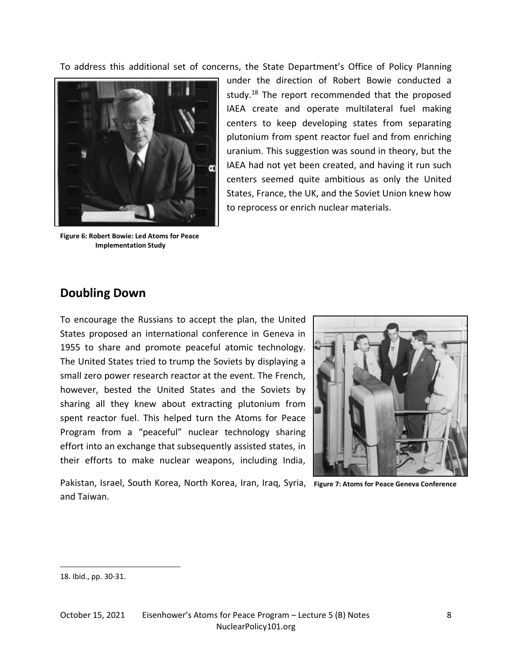To address this additional set of concerns, the State Department's Office of Policy Planning



 **Figure 6: Robert Bowie: Led Atoms for Peace Implementation Study** 

under the direction of Robert Bowie conducted a study.<sup>18</sup> The report recommended that the proposed IAEA create and operate multilateral fuel making centers to keep developing states from separating plutonium from spent reactor fuel and from enriching uranium. This suggestion was sound in theory, but the IAEA had not yet been created, and having it run such centers seemed quite ambitious as only the United States, France, the UK, and the Soviet Union knew how to reprocess or enrich nuclear materials.

#### **Doubling Down**

To encourage the Russians to accept the plan, the United States proposed an international conference in Geneva in 1955 to share and promote peaceful atomic technology. The United States tried to trump the Soviets by displaying a small zero power research reactor at the event. The French, however, bested the United States and the Soviets by sharing all they knew about extracting plutonium from spent reactor fuel. This helped turn the Atoms for Peace Program from a "peaceful" nuclear technology sharing effort into an exchange that subsequently assisted states, in their efforts to make nuclear weapons, including India,



Pakistan, Israel, South Korea, North Korea, Iran, Iraq, Syria, **Figure 7: Atoms for Peace Geneva Conference**and Taiwan.

<sup>18.</sup> Ibid., pp. 30-31.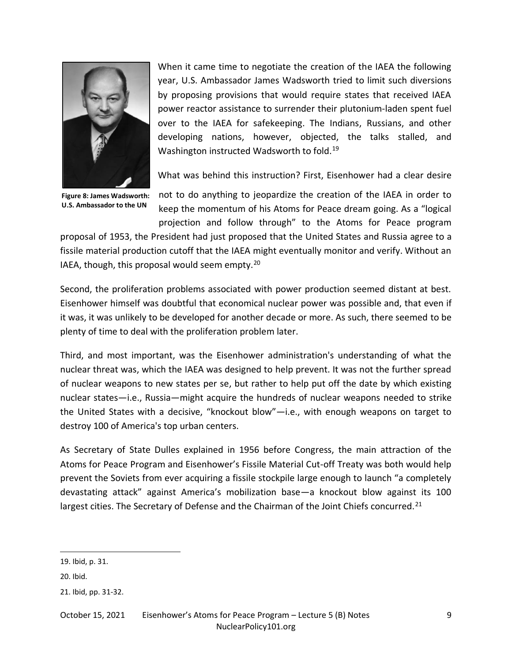

When it came time to negotiate the creation of the IAEA the following year, U.S. Ambassador James Wadsworth tried to limit such diversions by proposing provisions that would require states that received IAEA power reactor assistance to surrender their plutonium-laden spent fuel over to the IAEA for safekeeping. The Indians, Russians, and other developing nations, however, objected, the talks stalled, and Washington instructed Wadsworth to fold.<sup>19</sup>

What was behind this instruction? First, Eisenhower had a clear desire

**Figure 8: James Wadsworth: U.S. Ambassador to the UN** 

not to do anything to jeopardize the creation of the IAEA in order to keep the momentum of his Atoms for Peace dream going. As a "logical projection and follow through" to the Atoms for Peace program

proposal of 1953, the President had just proposed that the United States and Russia agree to a fissile material production cutoff that the IAEA might eventually monitor and verify. Without an IAEA, though, this proposal would seem empty.<sup>20</sup>

Second, the proliferation problems associated with power production seemed distant at best. Eisenhower himself was doubtful that economical nuclear power was possible and, that even if it was, it was unlikely to be developed for another decade or more. As such, there seemed to be plenty of time to deal with the proliferation problem later.

Third, and most important, was the Eisenhower administration's understanding of what the nuclear threat was, which the IAEA was designed to help prevent. It was not the further spread of nuclear weapons to new states per se, but rather to help put off the date by which existing nuclear states—i.e., Russia—might acquire the hundreds of nuclear weapons needed to strike the United States with a decisive, "knockout blow"—i.e., with enough weapons on target to destroy 100 of America's top urban centers.

As Secretary of State Dulles explained in 1956 before Congress, the main attraction of the Atoms for Peace Program and Eisenhower's Fissile Material Cut-off Treaty was both would help prevent the Soviets from ever acquiring a fissile stockpile large enough to launch "a completely devastating attack" against America's mobilization base—a knockout blow against its 100 largest cities. The Secretary of Defense and the Chairman of the Joint Chiefs concurred.<sup>21</sup>

October 15, 2021 Eisenhower's Atoms for Peace Program – Lecture 5 (B) Notes 9 NuclearPolicy101.org

<sup>19.</sup> Ibid, p. 31.

<sup>20.</sup> Ibid.

<sup>21.</sup> Ibid, pp. 31-32.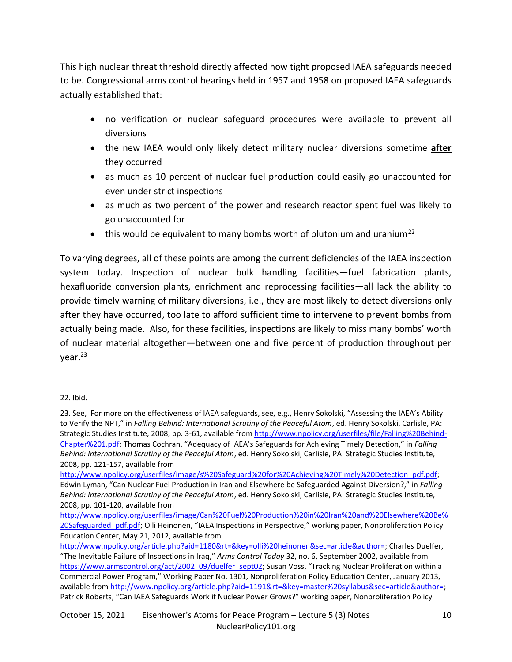This high nuclear threat threshold directly affected how tight proposed IAEA safeguards needed to be. Congressional arms control hearings held in 1957 and 1958 on proposed IAEA safeguards actually established that:

- no verification or nuclear safeguard procedures were available to prevent all diversions
- the new IAEA would only likely detect military nuclear diversions sometime **after** they occurred
- as much as 10 percent of nuclear fuel production could easily go unaccounted for even under strict inspections
- as much as two percent of the power and research reactor spent fuel was likely to go unaccounted for
- this would be equivalent to many bombs worth of plutonium and uranium<sup>22</sup>

To varying degrees, all of these points are among the current deficiencies of the IAEA inspection system today. Inspection of nuclear bulk handling facilities—fuel fabrication plants, hexafluoride conversion plants, enrichment and reprocessing facilities—all lack the ability to provide timely warning of military diversions, i.e., they are most likely to detect diversions only after they have occurred, too late to afford sufficient time to intervene to prevent bombs from actually being made. Also, for these facilities, inspections are likely to miss many bombs' worth of nuclear material altogether—between one and five percent of production throughout per year.<sup>23</sup>

<sup>22.</sup> Ibid.

<sup>23.</sup> See, For more on the effectiveness of IAEA safeguards, see, e.g., Henry Sokolski, "Assessing the IAEA's Ability to Verify the NPT," in *Falling Behind: International Scrutiny of the Peaceful Atom*, ed. Henry Sokolski, Carlisle, PA: Strategic Studies Institute, 2008, pp. 3-61, available fro[m http://www.npolicy.org/userfiles/file/Falling%20Behind-](http://www.npolicy.org/userfiles/file/Falling%20Behind-Chapter%201.pdf)[Chapter%201.pdf;](http://www.npolicy.org/userfiles/file/Falling%20Behind-Chapter%201.pdf) Thomas Cochran, "Adequacy of IAEA's Safeguards for Achieving Timely Detection," in *Falling Behind: International Scrutiny of the Peaceful Atom*, ed. Henry Sokolski, Carlisle, PA: Strategic Studies Institute, 2008, pp. 121-157, available from

[http://www.npolicy.org/userfiles/image/s%20Safeguard%20for%20Achieving%20Timely%20Detection\\_pdf.pdf;](http://www.npolicy.org/userfiles/image/s%20Safeguard%20for%20Achieving%20Timely%20Detection_pdf.pdf) Edwin Lyman, "Can Nuclear Fuel Production in Iran and Elsewhere be Safeguarded Against Diversion?," in *Falling Behind: International Scrutiny of the Peaceful Atom*, ed. Henry Sokolski, Carlisle, PA: Strategic Studies Institute, 2008, pp. 101-120, available from

[http://www.npolicy.org/userfiles/image/Can%20Fuel%20Production%20in%20Iran%20and%20Elsewhere%20Be%](http://www.npolicy.org/userfiles/image/Can%20Fuel%20Production%20in%20Iran%20and%20Elsewhere%20Be%20Safeguarded_pdf.pdf) [20Safeguarded\\_pdf.pdf;](http://www.npolicy.org/userfiles/image/Can%20Fuel%20Production%20in%20Iran%20and%20Elsewhere%20Be%20Safeguarded_pdf.pdf) Olli Heinonen, "IAEA Inspections in Perspective," working paper, Nonproliferation Policy Education Center, May 21, 2012, available from

[http://www.npolicy.org/article.php?aid=1180&rt=&key=olli%20heinonen&sec=article&author=;](http://www.npolicy.org/article.php?aid=1180&rt=&key=olli%20heinonen&sec=article&author=) Charles Duelfer, "The Inevitable Failure of Inspections in Iraq," *Arms Control Today* 32, no. 6, September 2002, available from [https://www.armscontrol.org/act/2002\\_09/duelfer\\_sept02;](https://www.armscontrol.org/act/2002_09/duelfer_sept02) Susan Voss, "Tracking Nuclear Proliferation within a Commercial Power Program," Working Paper No. 1301, Nonproliferation Policy Education Center, January 2013, available from [http://www.npolicy.org/article.php?aid=1191&rt=&key=master%20syllabus&sec=article&author=;](http://www.npolicy.org/article.php?aid=1191&rt=&key=master%20syllabus&sec=article&author=) Patrick Roberts, "Can IAEA Safeguards Work if Nuclear Power Grows?" working paper, Nonproliferation Policy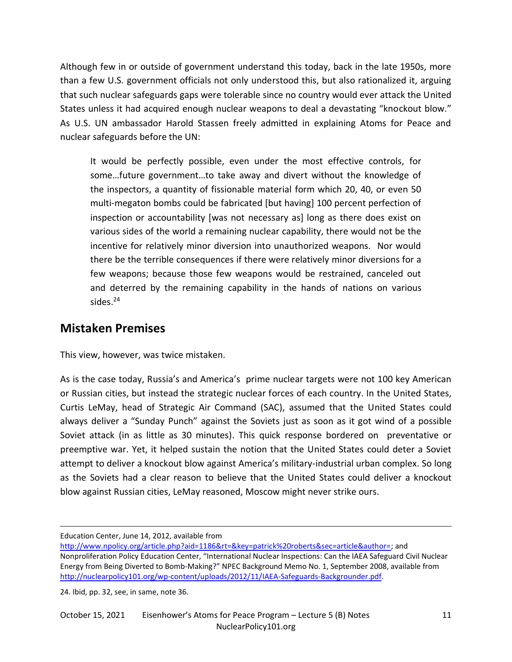Although few in or outside of government understand this today, back in the late 1950s, more than a few U.S. government officials not only understood this, but also rationalized it, arguing that such nuclear safeguards gaps were tolerable since no country would ever attack the United States unless it had acquired enough nuclear weapons to deal a devastating "knockout blow." As U.S. UN ambassador Harold Stassen freely admitted in explaining Atoms for Peace and nuclear safeguards before the UN:

It would be perfectly possible, even under the most effective controls, for some…future government…to take away and divert without the knowledge of the inspectors, a quantity of fissionable material form which 20, 40, or even 50 multi-megaton bombs could be fabricated [but having] 100 percent perfection of inspection or accountability [was not necessary as] long as there does exist on various sides of the world a remaining nuclear capability, there would not be the incentive for relatively minor diversion into unauthorized weapons. Nor would there be the terrible consequences if there were relatively minor diversions for a few weapons; because those few weapons would be restrained, canceled out and deterred by the remaining capability in the hands of nations on various sides.<sup>24</sup>

#### **Mistaken Premises**

This view, however, was twice mistaken.

As is the case today, Russia's and America's prime nuclear targets were not 100 key American or Russian cities, but instead the strategic nuclear forces of each country. In the United States, Curtis LeMay, head of Strategic Air Command (SAC), assumed that the United States could always deliver a "Sunday Punch" against the Soviets just as soon as it got wind of a possible Soviet attack (in as little as 30 minutes). This quick response bordered on preventative or preemptive war. Yet, it helped sustain the notion that the United States could deter a Soviet attempt to deliver a knockout blow against America's military-industrial urban complex. So long as the Soviets had a clear reason to believe that the United States could deliver a knockout blow against Russian cities, LeMay reasoned, Moscow might never strike ours.

Education Center, June 14, 2012, available from

24. Ibid, pp. 32, see, in same, note 36.

[http://www.npolicy.org/article.php?aid=1186&rt=&key=patrick%20roberts&sec=article&author=;](http://www.npolicy.org/article.php?aid=1186&rt=&key=patrick%20roberts&sec=article&author=) and Nonproliferation Policy Education Center, "International Nuclear Inspections: Can the IAEA Safeguard Civil Nuclear Energy from Being Diverted to Bomb-Making?" NPEC Background Memo No. 1, September 2008, available from [http://nuclearpolicy101.org/wp-content/uploads/2012/11/IAEA-Safeguards-Backgrounder.pdf.](http://nuclearpolicy101.org/wp-content/uploads/2012/11/IAEA-Safeguards-Backgrounder.pdf)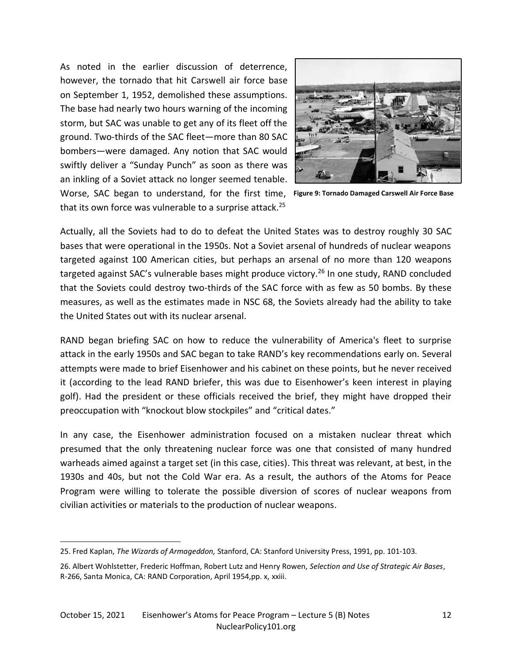Worse, SAC began to understand, for the first time, Figure 9: Tornado Damaged Carswell Air Force Base As noted in the earlier discussion of deterrence, however, the tornado that hit Carswell air force base on September 1, 1952, demolished these assumptions. The base had nearly two hours warning of the incoming storm, but SAC was unable to get any of its fleet off the ground. Two-thirds of the SAC fleet—more than 80 SAC bombers—were damaged. Any notion that SAC would swiftly deliver a "Sunday Punch" as soon as there was an inkling of a Soviet attack no longer seemed tenable. that its own force was vulnerable to a surprise attack.<sup>25</sup>



Actually, all the Soviets had to do to defeat the United States was to destroy roughly 30 SAC bases that were operational in the 1950s. Not a Soviet arsenal of hundreds of nuclear weapons targeted against 100 American cities, but perhaps an arsenal of no more than 120 weapons targeted against SAC's vulnerable bases might produce victory.<sup>26</sup> In one study, RAND concluded that the Soviets could destroy two-thirds of the SAC force with as few as 50 bombs. By these measures, as well as the estimates made in NSC 68, the Soviets already had the ability to take the United States out with its nuclear arsenal.

RAND began briefing SAC on how to reduce the vulnerability of America's fleet to surprise attack in the early 1950s and SAC began to take RAND's key recommendations early on. Several attempts were made to brief Eisenhower and his cabinet on these points, but he never received it (according to the lead RAND briefer, this was due to Eisenhower's keen interest in playing golf). Had the president or these officials received the brief, they might have dropped their preoccupation with "knockout blow stockpiles" and "critical dates."

In any case, the Eisenhower administration focused on a mistaken nuclear threat which presumed that the only threatening nuclear force was one that consisted of many hundred warheads aimed against a target set (in this case, cities). This threat was relevant, at best, in the 1930s and 40s, but not the Cold War era. As a result, the authors of the Atoms for Peace Program were willing to tolerate the possible diversion of scores of nuclear weapons from civilian activities or materials to the production of nuclear weapons.

<sup>25.</sup> Fred Kaplan, *The Wizards of Armageddon,* Stanford, CA: Stanford University Press, 1991, pp. 101-103.

<sup>26.</sup> Albert Wohlstetter, Frederic Hoffman, Robert Lutz and Henry Rowen, *Selection and Use of Strategic Air Bases*, R-266, Santa Monica, CA: RAND Corporation, April 1954,pp. x, xxiii.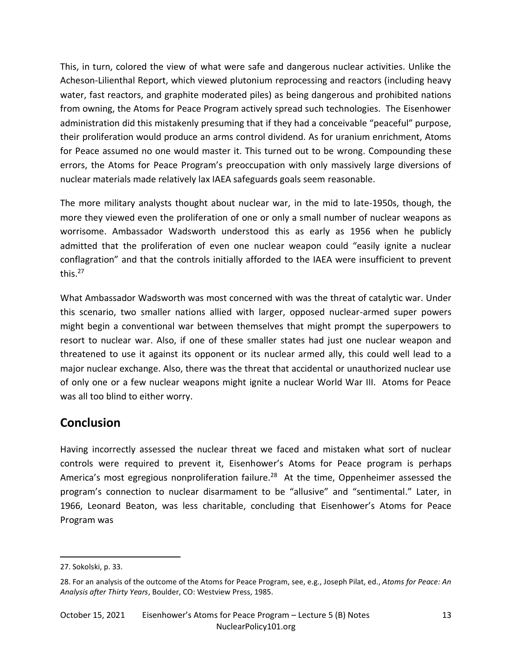This, in turn, colored the view of what were safe and dangerous nuclear activities. Unlike the Acheson-Lilienthal Report, which viewed plutonium reprocessing and reactors (including heavy water, fast reactors, and graphite moderated piles) as being dangerous and prohibited nations from owning, the Atoms for Peace Program actively spread such technologies. The Eisenhower administration did this mistakenly presuming that if they had a conceivable "peaceful" purpose, their proliferation would produce an arms control dividend. As for uranium enrichment, Atoms for Peace assumed no one would master it. This turned out to be wrong. Compounding these errors, the Atoms for Peace Program's preoccupation with only massively large diversions of nuclear materials made relatively lax IAEA safeguards goals seem reasonable.

The more military analysts thought about nuclear war, in the mid to late-1950s, though, the more they viewed even the proliferation of one or only a small number of nuclear weapons as worrisome. Ambassador Wadsworth understood this as early as 1956 when he publicly admitted that the proliferation of even one nuclear weapon could "easily ignite a nuclear conflagration" and that the controls initially afforded to the IAEA were insufficient to prevent this. $27$ 

What Ambassador Wadsworth was most concerned with was the threat of catalytic war. Under this scenario, two smaller nations allied with larger, opposed nuclear-armed super powers might begin a conventional war between themselves that might prompt the superpowers to resort to nuclear war. Also, if one of these smaller states had just one nuclear weapon and threatened to use it against its opponent or its nuclear armed ally, this could well lead to a major nuclear exchange. Also, there was the threat that accidental or unauthorized nuclear use of only one or a few nuclear weapons might ignite a nuclear World War III. Atoms for Peace was all too blind to either worry.

#### **Conclusion**

Having incorrectly assessed the nuclear threat we faced and mistaken what sort of nuclear controls were required to prevent it, Eisenhower's Atoms for Peace program is perhaps America's most egregious nonproliferation failure.<sup>28</sup> At the time, Oppenheimer assessed the program's connection to nuclear disarmament to be "allusive" and "sentimental." Later, in 1966, Leonard Beaton, was less charitable, concluding that Eisenhower's Atoms for Peace Program was

<sup>27.</sup> Sokolski, p. 33.

<sup>28.</sup> For an analysis of the outcome of the Atoms for Peace Program, see, e.g., Joseph Pilat, ed., *Atoms for Peace: An Analysis after Thirty Years*, Boulder, CO: Westview Press, 1985.